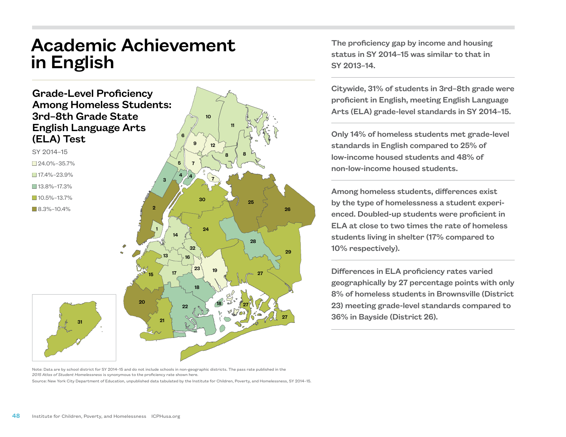## Academic Achievement in English



The proficiency gap by income and housing status in SY 2014–15 was similar to that in SY 2013–14.

Citywide, 31% of students in 3rd–8th grade were proficient in English, meeting English Language Arts (ELA) grade-level standards in SY 2014–15.

Only 14% of homeless students met grade-level standards in English compared to 25% of low-income housed students and 48% of non-low-income housed students.

Among homeless students, differences exist by the type of homelessness a student experienced. Doubled-up students were proficient in ELA at close to two times the rate of homeless students living in shelter (17% compared to 10% respectively).

Differences in ELA proficiency rates varied geographically by 27 percentage points with only 8% of homeless students in Brownsville (District 23) meeting grade-level standards compared to 36% in Bayside (District 26).

Note: Data are by school district for SY 2014–15 and do not include schools in non-geographic districts. The pass rate published in the *2015 Atlas of Student Homelessness* is synonymous to the proficiency rate shown here.

Source: New York City Department of Education, unpublished data tabulated by the Institute for Children, Poverty, and Homelessness, SY 2014–15.